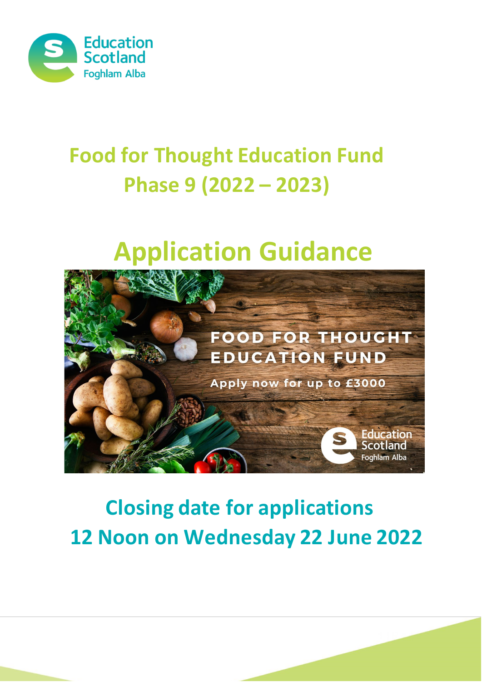

# **Food for Thought Education Fund Phase 9 (2022 – 2023)**

# **Application Guidance**



# **Closing date for applications 12 Noon on Wednesday 22 June 2022**

**1 |** Page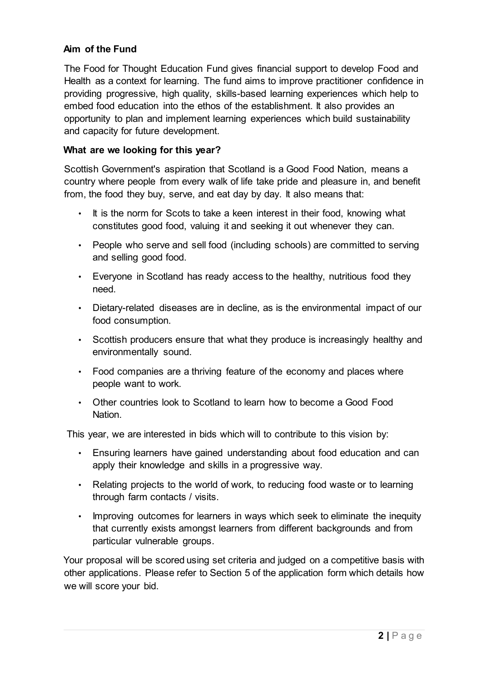#### **Aim of the Fund**

The Food for Thought Education Fund gives financial support to develop Food and Health as a context for learning. The fund aims to improve practitioner confidence in providing progressive, high quality, skills-based learning experiences which help to embed food education into the ethos of the establishment. It also provides an opportunity to plan and implement learning experiences which build sustainability and capacity for future development.

#### **What are we looking for this year?**

Scottish Government's aspiration that Scotland is a Good Food Nation, means a country where people from every walk of life take pride and pleasure in, and benefit from, the food they buy, serve, and eat day by day. It also means that:

- It is the norm for Scots to take a keen interest in their food, knowing what constitutes good food, valuing it and seeking it out whenever they can.
- People who serve and sell food (including schools) are committed to serving and selling good food.
- Everyone in Scotland has ready access to the healthy, nutritious food they need.
- Dietary-related diseases are in decline, as is the environmental impact of our food consumption.
- Scottish producers ensure that what they produce is increasingly healthy and environmentally sound.
- Food companies are a thriving feature of the economy and places where people want to work.
- Other countries look to Scotland to learn how to become a Good Food Nation.

This year, we are interested in bids which will to contribute to this vision by:

- Ensuring learners have gained understanding about food education and can apply their knowledge and skills in a progressive way.
- Relating projects to the world of work, to reducing food waste or to learning through farm contacts / visits.
- Improving outcomes for learners in ways which seek to eliminate the inequity that currently exists amongst learners from different backgrounds and from particular vulnerable groups.

Your proposal will be scored using set criteria and judged on a competitive basis with other applications. Please refer to Section 5 of the application form which details how we will score your bid.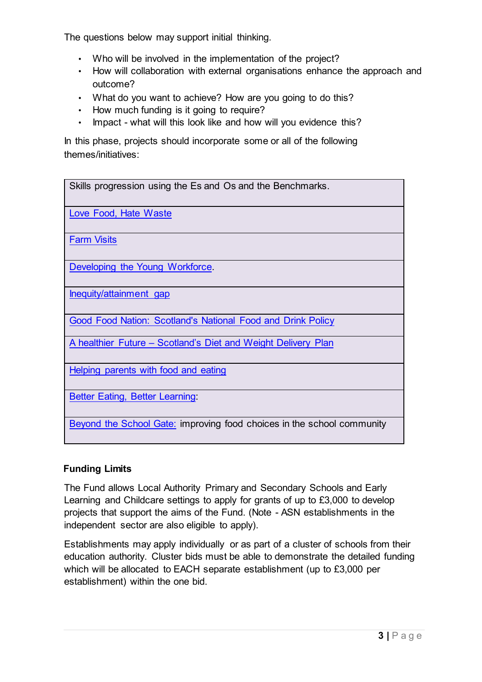The questions below may support initial thinking.

- Who will be involved in the implementation of the project?
- How will collaboration with external organisations enhance the approach and outcome?
- What do you want to achieve? How are you going to do this?
- How much funding is it going to require?
- Impact what will this look like and how will you evidence this?

In this phase, projects should incorporate some or all of the following themes/initiatives:

Skills progression using the Es and Os and the Benchmarks. [Love Food, Hate Waste](https://scotland.lovefoodhatewaste.com/) [Farm Visits](https://www.rhet.org.uk/) [Developing the Young Workforce.](https://education.gov.scot/improvement/learning-resources/A%20summary%20of%20Developing%20the%20Young%20Workforce%20(DYW)%20resources)  [Inequity/attainment gap](https://www.gov.scot/policies/schools/pupil-attainment/) [Good Food Nation: Scotland's National Food and Drink Policy](https://www.gov.scot/policies/food-and-drink/good-food-nation/) [A healthier Future –](https://www.gov.scot/publications/healthier-future-action-ambitions-diet-activity-healthy-weight-consultation-document/) [Scotland's Diet and Weight Delivery Plan](https://www.gov.scot/publications/healthier-future-action-ambitions-diet-activity-healthy-weight-consultation-document/) [Helping parents with food and eating](https://www.parentclub.scot/topics/food-eating) [Better Eating, Better Learning:](http://www.scotland.gov.uk/Resource/0044/00445740.pdf)  [Beyond the School Gate:](http://www.scotland.gov.uk/Resource/0044/00449317.pdf) [i](http://www.scotland.gov.uk/Resource/0044/00449317.pdf)mproving food choices in the school community

# **Funding Limits**

The Fund allows Local Authority Primary and Secondary Schools and Early Learning and Childcare settings to apply for grants of up to £3,000 to develop projects that support the aims of the Fund. (Note - ASN establishments in the independent sector are also eligible to apply).

Establishments may apply individually or as part of a cluster of schools from their education authority. Cluster bids must be able to demonstrate the detailed funding which will be allocated to EACH separate establishment (up to £3,000 per establishment) within the one bid.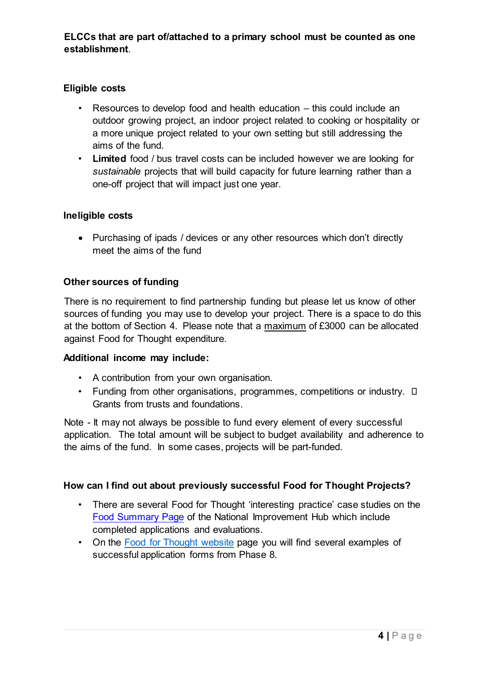# **Eligible costs**

- Resources to develop food and health education this could include an outdoor growing project, an indoor project related to cooking or hospitality or a more unique project related to your own setting but still addressing the aims of the fund.
- **Limited** food / bus travel costs can be included however we are looking for *sustainable* projects that will build capacity for future learning rather than a one-off project that will impact just one year.

## **Ineligible costs**

• Purchasing of ipads / devices or any other resources which don't directly meet the aims of the fund

## **Other sources of funding**

There is no requirement to find partnership funding but please let us know of other sources of funding you may use to develop your project. There is a space to do this at the bottom of Section 4. Please note that a maximum of £3000 can be allocated against Food for Thought expenditure.

#### **Additional income may include:**

- A contribution from your own organisation.
- Funding from other organisations, programmes, competitions or industry.  $\square$ Grants from trusts and foundations.

Note - It may not always be possible to fund every element of every successful application. The total amount will be subject to budget availability and adherence to the aims of the fund. In some cases, projects will be part-funded.

#### **How can I find out about previously successful Food for Thought Projects?**

- There are several Food for Thought 'interesting practice' case studies on the [Food Summary Page](https://education.gov.scot/improvement/learning-resources/hwb42-food-education-summary) [o](https://education.gov.scot/improvement/learning-resources/hwb42-food-education-summary)f the National Improvement Hub which include completed applications and evaluations.
- On the [Food for Thought website](https://education.gov.scot/education-scotland/what-we-do/food-for-thought-education-fund) page you will find several examples of successful application forms from Phase 8.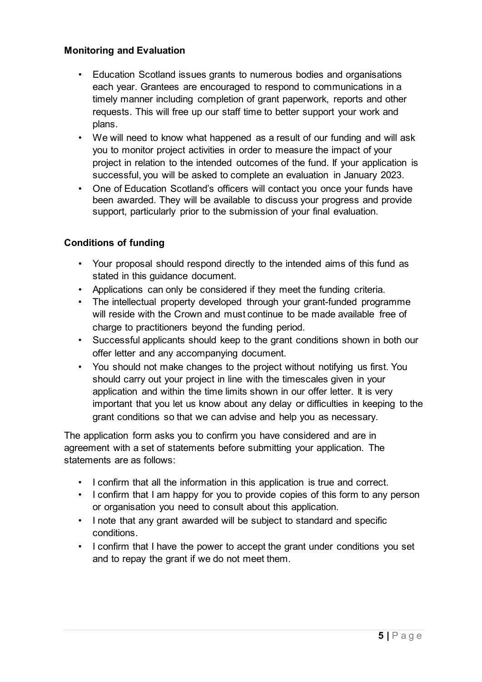#### **Monitoring and Evaluation**

- Education Scotland issues grants to numerous bodies and organisations each year. Grantees are encouraged to respond to communications in a timely manner including completion of grant paperwork, reports and other requests. This will free up our staff time to better support your work and plans.
- We will need to know what happened as a result of our funding and will ask you to monitor project activities in order to measure the impact of your project in relation to the intended outcomes of the fund. If your application is successful, you will be asked to complete an evaluation in January 2023.
- One of Education Scotland's officers will contact you once your funds have been awarded. They will be available to discuss your progress and provide support, particularly prior to the submission of your final evaluation.

## **Conditions of funding**

- Your proposal should respond directly to the intended aims of this fund as stated in this guidance document.
- Applications can only be considered if they meet the funding criteria.
- The intellectual property developed through your grant-funded programme will reside with the Crown and must continue to be made available free of charge to practitioners beyond the funding period.
- Successful applicants should keep to the grant conditions shown in both our offer letter and any accompanying document.
- You should not make changes to the project without notifying us first. You should carry out your project in line with the timescales given in your application and within the time limits shown in our offer letter. It is very important that you let us know about any delay or difficulties in keeping to the grant conditions so that we can advise and help you as necessary.

The application form asks you to confirm you have considered and are in agreement with a set of statements before submitting your application. The statements are as follows:

- I confirm that all the information in this application is true and correct.
- I confirm that I am happy for you to provide copies of this form to any person or organisation you need to consult about this application.
- I note that any grant awarded will be subject to standard and specific conditions.
- I confirm that I have the power to accept the grant under conditions you set and to repay the grant if we do not meet them.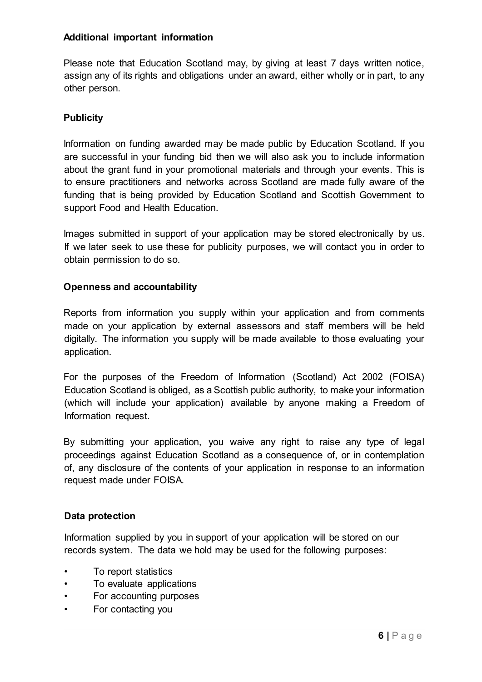#### **Additional important information**

Please note that Education Scotland may, by giving at least 7 days written notice, assign any of its rights and obligations under an award, either wholly or in part, to any other person.

#### **Publicity**

Information on funding awarded may be made public by Education Scotland. If you are successful in your funding bid then we will also ask you to include information about the grant fund in your promotional materials and through your events. This is to ensure practitioners and networks across Scotland are made fully aware of the funding that is being provided by Education Scotland and Scottish Government to support Food and Health Education.

Images submitted in support of your application may be stored electronically by us. If we later seek to use these for publicity purposes, we will contact you in order to obtain permission to do so.

#### **Openness and accountability**

Reports from information you supply within your application and from comments made on your application by external assessors and staff members will be held digitally. The information you supply will be made available to those evaluating your application.

For the purposes of the Freedom of Information (Scotland) Act 2002 (FOISA) Education Scotland is obliged, as a Scottish public authority, to make your information (which will include your application) available by anyone making a Freedom of Information request.

By submitting your application, you waive any right to raise any type of legal proceedings against Education Scotland as a consequence of, or in contemplation of, any disclosure of the contents of your application in response to an information request made under FOISA.

#### **Data protection**

Information supplied by you in support of your application will be stored on our records system. The data we hold may be used for the following purposes:

- To report statistics
- To evaluate applications
- For accounting purposes
- For contacting you